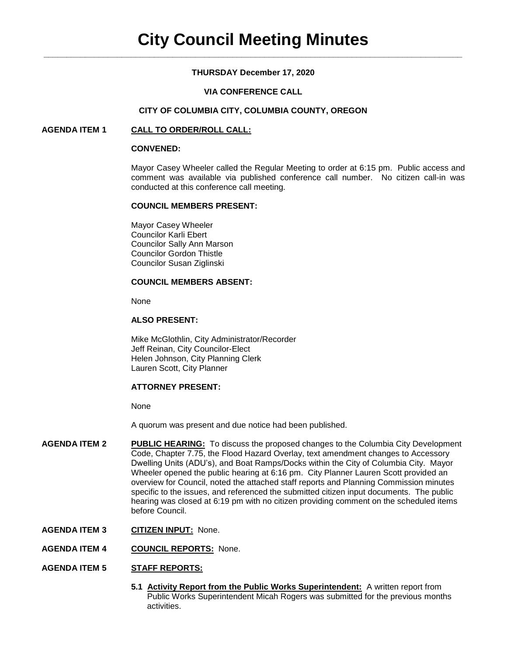# **THURSDAY December 17, 2020**

## **VIA CONFERENCE CALL**

### **CITY OF COLUMBIA CITY, COLUMBIA COUNTY, OREGON**

## **AGENDA ITEM 1 CALL TO ORDER/ROLL CALL:**

### **CONVENED:**

Mayor Casey Wheeler called the Regular Meeting to order at 6:15 pm. Public access and comment was available via published conference call number. No citizen call-in was conducted at this conference call meeting.

### **COUNCIL MEMBERS PRESENT:**

Mayor Casey Wheeler Councilor Karli Ebert Councilor Sally Ann Marson Councilor Gordon Thistle Councilor Susan Ziglinski

## **COUNCIL MEMBERS ABSENT:**

None

# **ALSO PRESENT:**

Mike McGlothlin, City Administrator/Recorder Jeff Reinan, City Councilor-Elect Helen Johnson, City Planning Clerk Lauren Scott, City Planner

### **ATTORNEY PRESENT:**

None

A quorum was present and due notice had been published.

- **AGENDA ITEM 2 PUBLIC HEARING:** To discuss the proposed changes to the Columbia City Development Code, Chapter 7.75, the Flood Hazard Overlay, text amendment changes to Accessory Dwelling Units (ADU's), and Boat Ramps/Docks within the City of Columbia City. Mayor Wheeler opened the public hearing at 6:16 pm. City Planner Lauren Scott provided an overview for Council, noted the attached staff reports and Planning Commission minutes specific to the issues, and referenced the submitted citizen input documents. The public hearing was closed at 6:19 pm with no citizen providing comment on the scheduled items before Council.
- **AGENDA ITEM 3 CITIZEN INPUT:** None.
- **AGENDA ITEM 4 COUNCIL REPORTS:** None.

### **AGENDA ITEM 5 STAFF REPORTS:**

5.1 **Activity Report from the Public Works Superintendent:** A written report from Public Works Superintendent Micah Rogers was submitted for the previous months activities.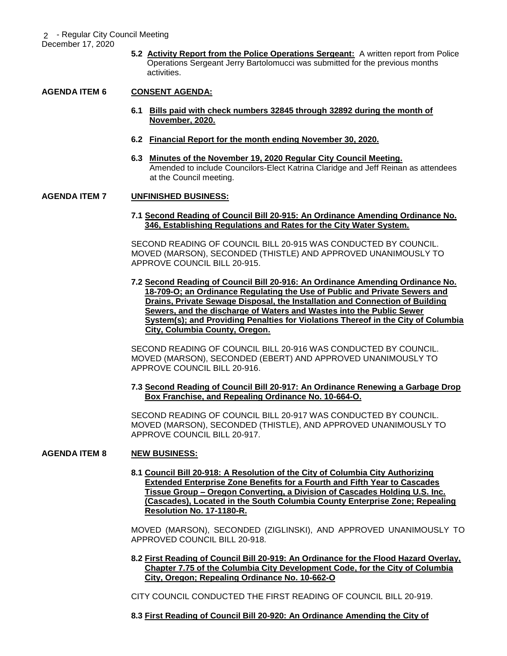**5.2 Activity Report from the Police Operations Sergeant:** A written report from Police Operations Sergeant Jerry Bartolomucci was submitted for the previous months activities.

# **AGENDA ITEM 6 CONSENT AGENDA:**

- **6.1 Bills paid with check numbers 32845 through 32892 during the month of November, 2020.**
- **6.2 Financial Report for the month ending November 30, 2020.**
- **6.3 Minutes of the November 19, 2020 Regular City Council Meeting.** Amended to include Councilors-Elect Katrina Claridge and Jeff Reinan as attendees at the Council meeting.

### **AGENDA ITEM 7 UNFINISHED BUSINESS:**

### **7.1 Second Reading of Council Bill 20-915: An Ordinance Amending Ordinance No. 346, Establishing Regulations and Rates for the City Water System.**

SECOND READING OF COUNCIL BILL 20-915 WAS CONDUCTED BY COUNCIL. MOVED (MARSON), SECONDED (THISTLE) AND APPROVED UNANIMOUSLY TO APPROVE COUNCIL BILL 20-915.

**7.2 Second Reading of Council Bill 20-916: An Ordinance Amending Ordinance No. 18-709-O; an Ordinance Regulating the Use of Public and Private Sewers and Drains, Private Sewage Disposal, the Installation and Connection of Building Sewers, and the discharge of Waters and Wastes into the Public Sewer System(s); and Providing Penalties for Violations Thereof in the City of Columbia City, Columbia County, Oregon.**

SECOND READING OF COUNCIL BILL 20-916 WAS CONDUCTED BY COUNCIL. MOVED (MARSON), SECONDED (EBERT) AND APPROVED UNANIMOUSLY TO APPROVE COUNCIL BILL 20-916.

### **7.3 Second Reading of Council Bill 20-917: An Ordinance Renewing a Garbage Drop Box Franchise, and Repealing Ordinance No. 10-664-O.**

SECOND READING OF COUNCIL BILL 20-917 WAS CONDUCTED BY COUNCIL. MOVED (MARSON), SECONDED (THISTLE), AND APPROVED UNANIMOUSLY TO APPROVE COUNCIL BILL 20-917.

### **AGENDA ITEM 8 NEW BUSINESS:**

**8.1 Council Bill 20-918: A Resolution of the City of Columbia City Authorizing Extended Enterprise Zone Benefits for a Fourth and Fifth Year to Cascades Tissue Group – Oregon Converting, a Division of Cascades Holding U.S. Inc. (Cascades), Located in the South Columbia County Enterprise Zone; Repealing Resolution No. 17-1180-R.**

MOVED (MARSON), SECONDED (ZIGLINSKI), AND APPROVED UNANIMOUSLY TO APPROVED COUNCIL BILL 20-918.

**8.2 First Reading of Council Bill 20-919: An Ordinance for the Flood Hazard Overlay, Chapter 7.75 of the Columbia City Development Code, for the City of Columbia City, Oregon; Repealing Ordinance No. 10-662-O**

CITY COUNCIL CONDUCTED THE FIRST READING OF COUNCIL BILL 20-919.

## **8.3 First Reading of Council Bill 20-920: An Ordinance Amending the City of**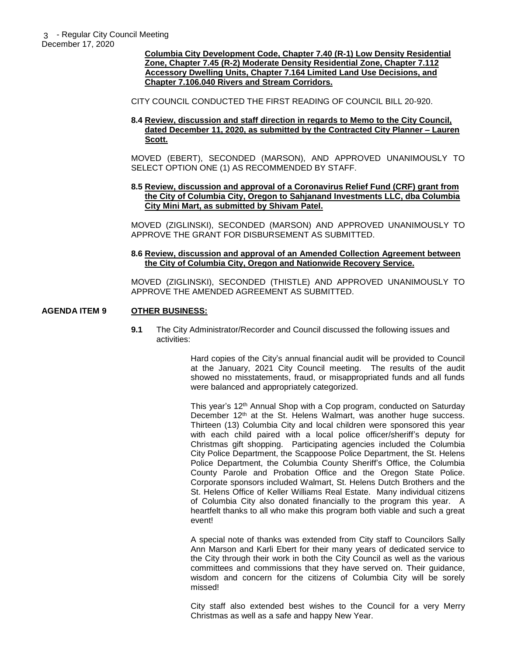**Columbia City Development Code, Chapter 7.40 (R-1) Low Density Residential Zone, Chapter 7.45 (R-2) Moderate Density Residential Zone, Chapter 7.112 Accessory Dwelling Units, Chapter 7.164 Limited Land Use Decisions, and Chapter 7.106.040 Rivers and Stream Corridors.**

CITY COUNCIL CONDUCTED THE FIRST READING OF COUNCIL BILL 20-920.

**8.4 Review, discussion and staff direction in regards to Memo to the City Council, dated December 11, 2020, as submitted by the Contracted City Planner – Lauren Scott.**

MOVED (EBERT), SECONDED (MARSON), AND APPROVED UNANIMOUSLY TO SELECT OPTION ONE (1) AS RECOMMENDED BY STAFF.

### **8.5 Review, discussion and approval of a Coronavirus Relief Fund (CRF) grant from the City of Columbia City, Oregon to Sahjanand Investments LLC, dba Columbia City Mini Mart, as submitted by Shivam Patel.**

MOVED (ZIGLINSKI), SECONDED (MARSON) AND APPROVED UNANIMOUSLY TO APPROVE THE GRANT FOR DISBURSEMENT AS SUBMITTED.

### **8.6 Review, discussion and approval of an Amended Collection Agreement between the City of Columbia City, Oregon and Nationwide Recovery Service.**

MOVED (ZIGLINSKI), SECONDED (THISTLE) AND APPROVED UNANIMOUSLY TO APPROVE THE AMENDED AGREEMENT AS SUBMITTED.

### **AGENDA ITEM 9 OTHER BUSINESS:**

**9.1** The City Administrator/Recorder and Council discussed the following issues and activities:

> Hard copies of the City's annual financial audit will be provided to Council at the January, 2021 City Council meeting. The results of the audit showed no misstatements, fraud, or misappropriated funds and all funds were balanced and appropriately categorized.

> This year's 12<sup>th</sup> Annual Shop with a Cop program, conducted on Saturday December 12<sup>th</sup> at the St. Helens Walmart, was another huge success. Thirteen (13) Columbia City and local children were sponsored this year with each child paired with a local police officer/sheriff's deputy for Christmas gift shopping. Participating agencies included the Columbia City Police Department, the Scappoose Police Department, the St. Helens Police Department, the Columbia County Sheriff's Office, the Columbia County Parole and Probation Office and the Oregon State Police. Corporate sponsors included Walmart, St. Helens Dutch Brothers and the St. Helens Office of Keller Williams Real Estate. Many individual citizens of Columbia City also donated financially to the program this year. A heartfelt thanks to all who make this program both viable and such a great event!

> A special note of thanks was extended from City staff to Councilors Sally Ann Marson and Karli Ebert for their many years of dedicated service to the City through their work in both the City Council as well as the various committees and commissions that they have served on. Their guidance, wisdom and concern for the citizens of Columbia City will be sorely missed!

> City staff also extended best wishes to the Council for a very Merry Christmas as well as a safe and happy New Year.